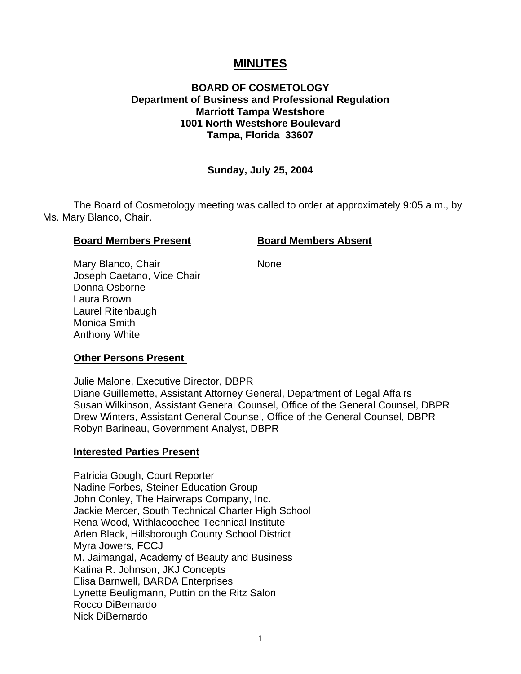# **MINUTES**

# **BOARD OF COSMETOLOGY Department of Business and Professional Regulation Marriott Tampa Westshore 1001 North Westshore Boulevard Tampa, Florida 33607**

#### **Sunday, July 25, 2004**

The Board of Cosmetology meeting was called to order at approximately 9:05 a.m., by Ms. Mary Blanco, Chair.

#### **Board Members Present Board Members Absent**

Mary Blanco, Chair None Joseph Caetano, Vice Chair Donna Osborne Laura Brown Laurel Ritenbaugh Monica Smith Anthony White

#### **Other Persons Present**

Julie Malone, Executive Director, DBPR Diane Guillemette, Assistant Attorney General, Department of Legal Affairs Susan Wilkinson, Assistant General Counsel, Office of the General Counsel, DBPR Drew Winters, Assistant General Counsel, Office of the General Counsel, DBPR Robyn Barineau, Government Analyst, DBPR

#### **Interested Parties Present**

Patricia Gough, Court Reporter Nadine Forbes, Steiner Education Group John Conley, The Hairwraps Company, Inc. Jackie Mercer, South Technical Charter High School Rena Wood, Withlacoochee Technical Institute Arlen Black, Hillsborough County School District Myra Jowers, FCCJ M. Jaimangal, Academy of Beauty and Business Katina R. Johnson, JKJ Concepts Elisa Barnwell, BARDA Enterprises Lynette Beuligmann, Puttin on the Ritz Salon Rocco DiBernardo Nick DiBernardo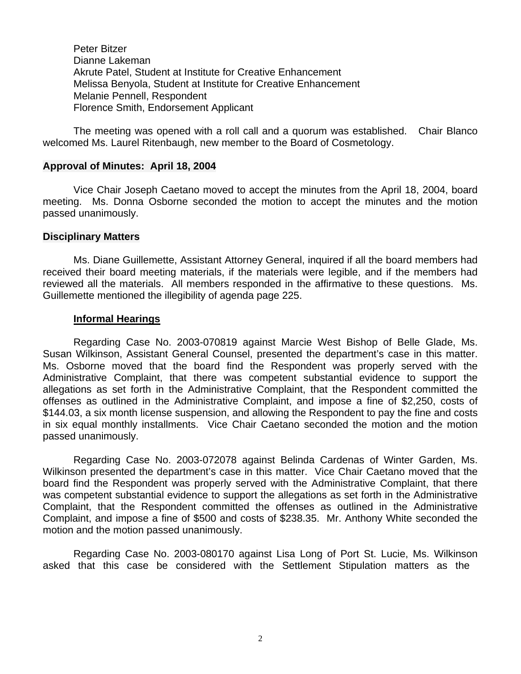Peter Bitzer Dianne Lakeman Akrute Patel, Student at Institute for Creative Enhancement Melissa Benyola, Student at Institute for Creative Enhancement Melanie Pennell, Respondent Florence Smith, Endorsement Applicant

The meeting was opened with a roll call and a quorum was established. Chair Blanco welcomed Ms. Laurel Ritenbaugh, new member to the Board of Cosmetology.

#### **Approval of Minutes: April 18, 2004**

Vice Chair Joseph Caetano moved to accept the minutes from the April 18, 2004, board meeting. Ms. Donna Osborne seconded the motion to accept the minutes and the motion passed unanimously.

#### **Disciplinary Matters**

Ms. Diane Guillemette, Assistant Attorney General, inquired if all the board members had received their board meeting materials, if the materials were legible, and if the members had reviewed all the materials. All members responded in the affirmative to these questions. Ms. Guillemette mentioned the illegibility of agenda page 225.

#### **Informal Hearings**

Regarding Case No. 2003-070819 against Marcie West Bishop of Belle Glade, Ms. Susan Wilkinson, Assistant General Counsel, presented the department's case in this matter. Ms. Osborne moved that the board find the Respondent was properly served with the Administrative Complaint, that there was competent substantial evidence to support the allegations as set forth in the Administrative Complaint, that the Respondent committed the offenses as outlined in the Administrative Complaint, and impose a fine of \$2,250, costs of \$144.03, a six month license suspension, and allowing the Respondent to pay the fine and costs in six equal monthly installments. Vice Chair Caetano seconded the motion and the motion passed unanimously.

Regarding Case No. 2003-072078 against Belinda Cardenas of Winter Garden, Ms. Wilkinson presented the department's case in this matter. Vice Chair Caetano moved that the board find the Respondent was properly served with the Administrative Complaint, that there was competent substantial evidence to support the allegations as set forth in the Administrative Complaint, that the Respondent committed the offenses as outlined in the Administrative Complaint, and impose a fine of \$500 and costs of \$238.35. Mr. Anthony White seconded the motion and the motion passed unanimously.

Regarding Case No. 2003-080170 against Lisa Long of Port St. Lucie, Ms. Wilkinson asked that this case be considered with the Settlement Stipulation matters as the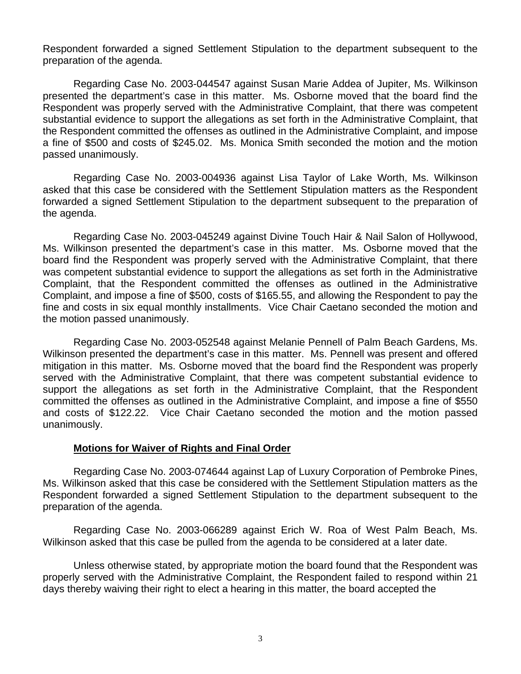Respondent forwarded a signed Settlement Stipulation to the department subsequent to the preparation of the agenda.

Regarding Case No. 2003-044547 against Susan Marie Addea of Jupiter, Ms. Wilkinson presented the department's case in this matter. Ms. Osborne moved that the board find the Respondent was properly served with the Administrative Complaint, that there was competent substantial evidence to support the allegations as set forth in the Administrative Complaint, that the Respondent committed the offenses as outlined in the Administrative Complaint, and impose a fine of \$500 and costs of \$245.02. Ms. Monica Smith seconded the motion and the motion passed unanimously.

Regarding Case No. 2003-004936 against Lisa Taylor of Lake Worth, Ms. Wilkinson asked that this case be considered with the Settlement Stipulation matters as the Respondent forwarded a signed Settlement Stipulation to the department subsequent to the preparation of the agenda.

Regarding Case No. 2003-045249 against Divine Touch Hair & Nail Salon of Hollywood, Ms. Wilkinson presented the department's case in this matter. Ms. Osborne moved that the board find the Respondent was properly served with the Administrative Complaint, that there was competent substantial evidence to support the allegations as set forth in the Administrative Complaint, that the Respondent committed the offenses as outlined in the Administrative Complaint, and impose a fine of \$500, costs of \$165.55, and allowing the Respondent to pay the fine and costs in six equal monthly installments. Vice Chair Caetano seconded the motion and the motion passed unanimously.

Regarding Case No. 2003-052548 against Melanie Pennell of Palm Beach Gardens, Ms. Wilkinson presented the department's case in this matter. Ms. Pennell was present and offered mitigation in this matter. Ms. Osborne moved that the board find the Respondent was properly served with the Administrative Complaint, that there was competent substantial evidence to support the allegations as set forth in the Administrative Complaint, that the Respondent committed the offenses as outlined in the Administrative Complaint, and impose a fine of \$550 and costs of \$122.22. Vice Chair Caetano seconded the motion and the motion passed unanimously.

#### **Motions for Waiver of Rights and Final Order**

Regarding Case No. 2003-074644 against Lap of Luxury Corporation of Pembroke Pines, Ms. Wilkinson asked that this case be considered with the Settlement Stipulation matters as the Respondent forwarded a signed Settlement Stipulation to the department subsequent to the preparation of the agenda.

Regarding Case No. 2003-066289 against Erich W. Roa of West Palm Beach, Ms. Wilkinson asked that this case be pulled from the agenda to be considered at a later date.

Unless otherwise stated, by appropriate motion the board found that the Respondent was properly served with the Administrative Complaint, the Respondent failed to respond within 21 days thereby waiving their right to elect a hearing in this matter, the board accepted the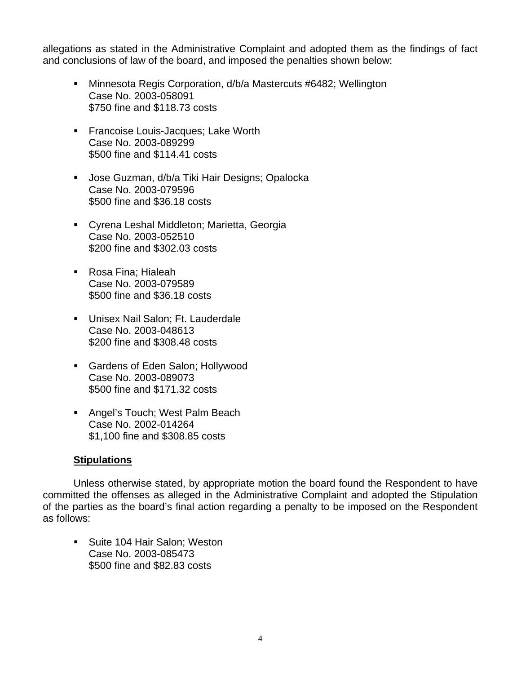allegations as stated in the Administrative Complaint and adopted them as the findings of fact and conclusions of law of the board, and imposed the penalties shown below:

- Minnesota Regis Corporation, d/b/a Mastercuts #6482; Wellington Case No. 2003-058091 \$750 fine and \$118.73 costs
- **Francoise Louis-Jacques; Lake Worth** Case No. 2003-089299 \$500 fine and \$114.41 costs
- **Jose Guzman, d/b/a Tiki Hair Designs; Opalocka** Case No. 2003-079596 \$500 fine and \$36.18 costs
- Cyrena Leshal Middleton; Marietta, Georgia Case No. 2003-052510 \$200 fine and \$302.03 costs
- Rosa Fina; Hialeah Case No. 2003-079589 \$500 fine and \$36.18 costs
- **Unisex Nail Salon: Ft. Lauderdale** Case No. 2003-048613 \$200 fine and \$308.48 costs
- **Gardens of Eden Salon; Hollywood** Case No. 2003-089073 \$500 fine and \$171.32 costs
- **Angel's Touch; West Palm Beach** Case No. 2002-014264 \$1,100 fine and \$308.85 costs

# **Stipulations**

Unless otherwise stated, by appropriate motion the board found the Respondent to have committed the offenses as alleged in the Administrative Complaint and adopted the Stipulation of the parties as the board's final action regarding a penalty to be imposed on the Respondent as follows:

■ Suite 104 Hair Salon; Weston Case No. 2003-085473 \$500 fine and \$82.83 costs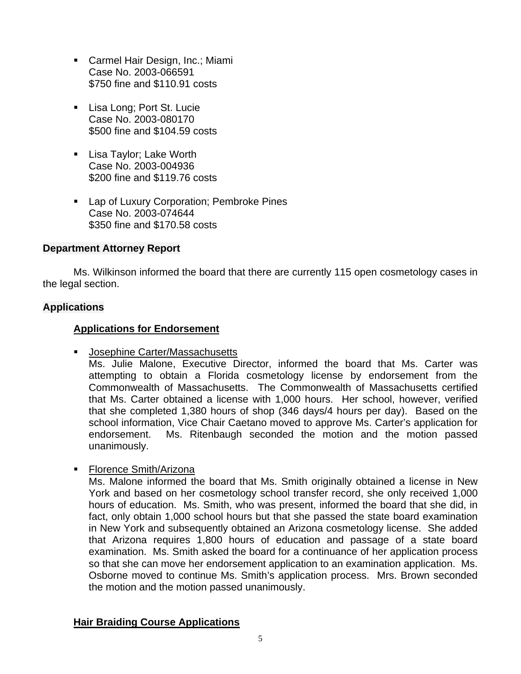- **Carmel Hair Design, Inc.; Miami** Case No. 2003-066591 \$750 fine and \$110.91 costs
- **Lisa Long; Port St. Lucie** Case No. 2003-080170 \$500 fine and \$104.59 costs
- **Lisa Taylor; Lake Worth** Case No. 2003-004936 \$200 fine and \$119.76 costs
- **Lap of Luxury Corporation; Pembroke Pines** Case No. 2003-074644 \$350 fine and \$170.58 costs

# **Department Attorney Report**

Ms. Wilkinson informed the board that there are currently 115 open cosmetology cases in the legal section.

# **Applications**

# **Applications for Endorsement**

Josephine Carter/Massachusetts

Ms. Julie Malone, Executive Director, informed the board that Ms. Carter was attempting to obtain a Florida cosmetology license by endorsement from the Commonwealth of Massachusetts. The Commonwealth of Massachusetts certified that Ms. Carter obtained a license with 1,000 hours. Her school, however, verified that she completed 1,380 hours of shop (346 days/4 hours per day). Based on the school information, Vice Chair Caetano moved to approve Ms. Carter's application for endorsement. Ms. Ritenbaugh seconded the motion and the motion passed unanimously.

**Florence Smith/Arizona** 

Ms. Malone informed the board that Ms. Smith originally obtained a license in New York and based on her cosmetology school transfer record, she only received 1,000 hours of education. Ms. Smith, who was present, informed the board that she did, in fact, only obtain 1,000 school hours but that she passed the state board examination in New York and subsequently obtained an Arizona cosmetology license. She added that Arizona requires 1,800 hours of education and passage of a state board examination. Ms. Smith asked the board for a continuance of her application process so that she can move her endorsement application to an examination application. Ms. Osborne moved to continue Ms. Smith's application process. Mrs. Brown seconded the motion and the motion passed unanimously.

# **Hair Braiding Course Applications**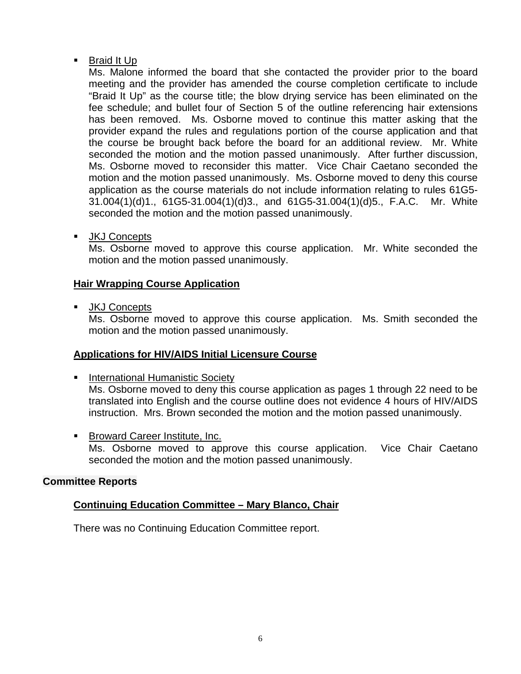# Braid It Up

Ms. Malone informed the board that she contacted the provider prior to the board meeting and the provider has amended the course completion certificate to include "Braid It Up" as the course title; the blow drying service has been eliminated on the fee schedule; and bullet four of Section 5 of the outline referencing hair extensions has been removed. Ms. Osborne moved to continue this matter asking that the provider expand the rules and regulations portion of the course application and that the course be brought back before the board for an additional review. Mr. White seconded the motion and the motion passed unanimously. After further discussion, Ms. Osborne moved to reconsider this matter. Vice Chair Caetano seconded the motion and the motion passed unanimously. Ms. Osborne moved to deny this course application as the course materials do not include information relating to rules 61G5- 31.004(1)(d)1., 61G5-31.004(1)(d)3., and 61G5-31.004(1)(d)5., F.A.C. Mr. White seconded the motion and the motion passed unanimously.

**JKJ Concepts** 

Ms. Osborne moved to approve this course application. Mr. White seconded the motion and the motion passed unanimously.

# **Hair Wrapping Course Application**

**JKJ Concepts** 

Ms. Osborne moved to approve this course application. Ms. Smith seconded the motion and the motion passed unanimously.

# **Applications for HIV/AIDS Initial Licensure Course**

- **International Humanistic Society** Ms. Osborne moved to deny this course application as pages 1 through 22 need to be translated into English and the course outline does not evidence 4 hours of HIV/AIDS instruction. Mrs. Brown seconded the motion and the motion passed unanimously.
- **Broward Career Institute, Inc.** Ms. Osborne moved to approve this course application. Vice Chair Caetano seconded the motion and the motion passed unanimously.

# **Committee Reports**

# **Continuing Education Committee – Mary Blanco, Chair**

There was no Continuing Education Committee report.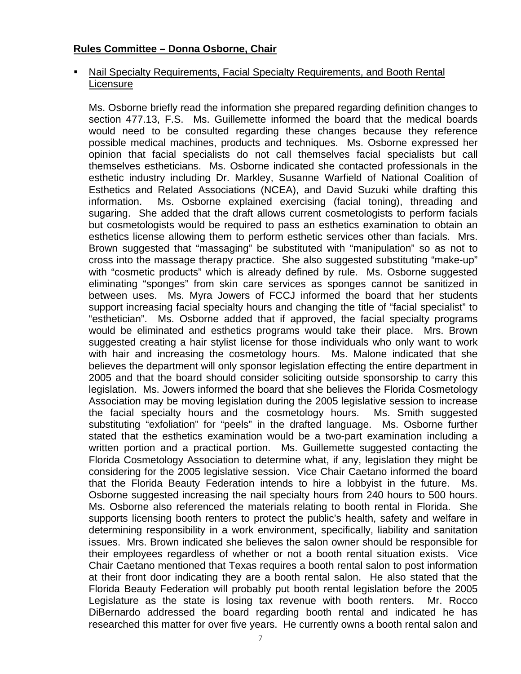# **Rules Committee – Donna Osborne, Chair**

## Nail Specialty Requirements, Facial Specialty Requirements, and Booth Rental **Licensure**

Ms. Osborne briefly read the information she prepared regarding definition changes to section 477.13, F.S. Ms. Guillemette informed the board that the medical boards would need to be consulted regarding these changes because they reference possible medical machines, products and techniques. Ms. Osborne expressed her opinion that facial specialists do not call themselves facial specialists but call themselves estheticians. Ms. Osborne indicated she contacted professionals in the esthetic industry including Dr. Markley, Susanne Warfield of National Coalition of Esthetics and Related Associations (NCEA), and David Suzuki while drafting this information. Ms. Osborne explained exercising (facial toning), threading and sugaring. She added that the draft allows current cosmetologists to perform facials but cosmetologists would be required to pass an esthetics examination to obtain an esthetics license allowing them to perform esthetic services other than facials. Mrs. Brown suggested that "massaging" be substituted with "manipulation" so as not to cross into the massage therapy practice. She also suggested substituting "make-up" with "cosmetic products" which is already defined by rule. Ms. Osborne suggested eliminating "sponges" from skin care services as sponges cannot be sanitized in between uses. Ms. Myra Jowers of FCCJ informed the board that her students support increasing facial specialty hours and changing the title of "facial specialist" to "esthetician". Ms. Osborne added that if approved, the facial specialty programs would be eliminated and esthetics programs would take their place. Mrs. Brown suggested creating a hair stylist license for those individuals who only want to work with hair and increasing the cosmetology hours. Ms. Malone indicated that she believes the department will only sponsor legislation effecting the entire department in 2005 and that the board should consider soliciting outside sponsorship to carry this legislation. Ms. Jowers informed the board that she believes the Florida Cosmetology Association may be moving legislation during the 2005 legislative session to increase the facial specialty hours and the cosmetology hours. Ms. Smith suggested substituting "exfoliation" for "peels" in the drafted language. Ms. Osborne further stated that the esthetics examination would be a two-part examination including a written portion and a practical portion. Ms. Guillemette suggested contacting the Florida Cosmetology Association to determine what, if any, legislation they might be considering for the 2005 legislative session. Vice Chair Caetano informed the board that the Florida Beauty Federation intends to hire a lobbyist in the future. Ms. Osborne suggested increasing the nail specialty hours from 240 hours to 500 hours. Ms. Osborne also referenced the materials relating to booth rental in Florida. She supports licensing booth renters to protect the public's health, safety and welfare in determining responsibility in a work environment, specifically, liability and sanitation issues. Mrs. Brown indicated she believes the salon owner should be responsible for their employees regardless of whether or not a booth rental situation exists. Vice Chair Caetano mentioned that Texas requires a booth rental salon to post information at their front door indicating they are a booth rental salon. He also stated that the Florida Beauty Federation will probably put booth rental legislation before the 2005 Legislature as the state is losing tax revenue with booth renters. Mr. Rocco DiBernardo addressed the board regarding booth rental and indicated he has researched this matter for over five years. He currently owns a booth rental salon and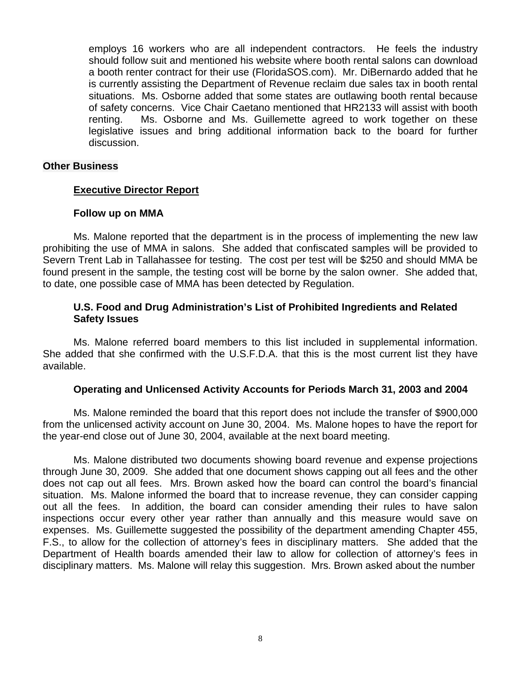employs 16 workers who are all independent contractors. He feels the industry should follow suit and mentioned his website where booth rental salons can download a booth renter contract for their use (FloridaSOS.com). Mr. DiBernardo added that he is currently assisting the Department of Revenue reclaim due sales tax in booth rental situations. Ms. Osborne added that some states are outlawing booth rental because of safety concerns. Vice Chair Caetano mentioned that HR2133 will assist with booth renting. Ms. Osborne and Ms. Guillemette agreed to work together on these legislative issues and bring additional information back to the board for further discussion.

#### **Other Business**

#### **Executive Director Report**

#### **Follow up on MMA**

Ms. Malone reported that the department is in the process of implementing the new law prohibiting the use of MMA in salons. She added that confiscated samples will be provided to Severn Trent Lab in Tallahassee for testing. The cost per test will be \$250 and should MMA be found present in the sample, the testing cost will be borne by the salon owner. She added that, to date, one possible case of MMA has been detected by Regulation.

### **U.S. Food and Drug Administration's List of Prohibited Ingredients and Related Safety Issues**

Ms. Malone referred board members to this list included in supplemental information. She added that she confirmed with the U.S.F.D.A. that this is the most current list they have available.

#### **Operating and Unlicensed Activity Accounts for Periods March 31, 2003 and 2004**

Ms. Malone reminded the board that this report does not include the transfer of \$900,000 from the unlicensed activity account on June 30, 2004. Ms. Malone hopes to have the report for the year-end close out of June 30, 2004, available at the next board meeting.

Ms. Malone distributed two documents showing board revenue and expense projections through June 30, 2009. She added that one document shows capping out all fees and the other does not cap out all fees. Mrs. Brown asked how the board can control the board's financial situation. Ms. Malone informed the board that to increase revenue, they can consider capping out all the fees. In addition, the board can consider amending their rules to have salon inspections occur every other year rather than annually and this measure would save on expenses. Ms. Guillemette suggested the possibility of the department amending Chapter 455, F.S., to allow for the collection of attorney's fees in disciplinary matters. She added that the Department of Health boards amended their law to allow for collection of attorney's fees in disciplinary matters. Ms. Malone will relay this suggestion. Mrs. Brown asked about the number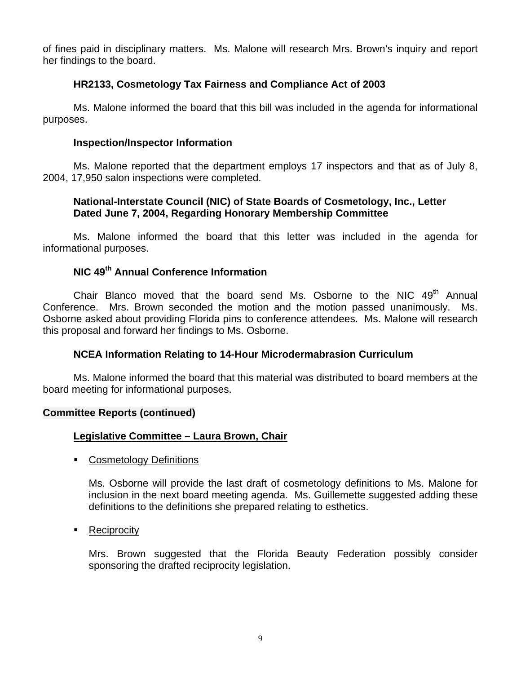of fines paid in disciplinary matters. Ms. Malone will research Mrs. Brown's inquiry and report her findings to the board.

# **HR2133, Cosmetology Tax Fairness and Compliance Act of 2003**

Ms. Malone informed the board that this bill was included in the agenda for informational purposes.

# **Inspection/Inspector Information**

Ms. Malone reported that the department employs 17 inspectors and that as of July 8, 2004, 17,950 salon inspections were completed.

# **National-Interstate Council (NIC) of State Boards of Cosmetology, Inc., Letter Dated June 7, 2004, Regarding Honorary Membership Committee**

Ms. Malone informed the board that this letter was included in the agenda for informational purposes.

# **NIC 49th Annual Conference Information**

Chair Blanco moved that the board send Ms. Osborne to the NIC 49<sup>th</sup> Annual Conference. Mrs. Brown seconded the motion and the motion passed unanimously. Ms. Osborne asked about providing Florida pins to conference attendees. Ms. Malone will research this proposal and forward her findings to Ms. Osborne.

# **NCEA Information Relating to 14-Hour Microdermabrasion Curriculum**

Ms. Malone informed the board that this material was distributed to board members at the board meeting for informational purposes.

# **Committee Reports (continued)**

# **Legislative Committee – Laura Brown, Chair**

**Cosmetology Definitions** 

Ms. Osborne will provide the last draft of cosmetology definitions to Ms. Malone for inclusion in the next board meeting agenda. Ms. Guillemette suggested adding these definitions to the definitions she prepared relating to esthetics.

• Reciprocity

Mrs. Brown suggested that the Florida Beauty Federation possibly consider sponsoring the drafted reciprocity legislation.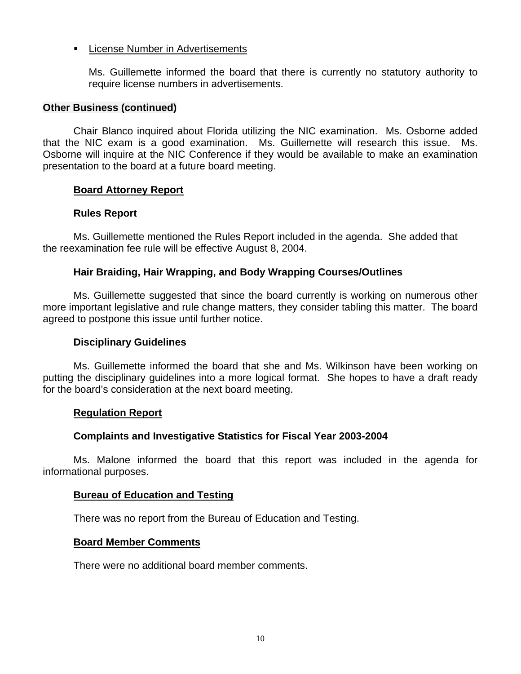# **EXECUTE:** License Number in Advertisements

Ms. Guillemette informed the board that there is currently no statutory authority to require license numbers in advertisements.

#### **Other Business (continued)**

Chair Blanco inquired about Florida utilizing the NIC examination. Ms. Osborne added that the NIC exam is a good examination. Ms. Guillemette will research this issue. Ms. Osborne will inquire at the NIC Conference if they would be available to make an examination presentation to the board at a future board meeting.

### **Board Attorney Report**

### **Rules Report**

Ms. Guillemette mentioned the Rules Report included in the agenda. She added that the reexamination fee rule will be effective August 8, 2004.

### **Hair Braiding, Hair Wrapping, and Body Wrapping Courses/Outlines**

Ms. Guillemette suggested that since the board currently is working on numerous other more important legislative and rule change matters, they consider tabling this matter. The board agreed to postpone this issue until further notice.

#### **Disciplinary Guidelines**

Ms. Guillemette informed the board that she and Ms. Wilkinson have been working on putting the disciplinary guidelines into a more logical format. She hopes to have a draft ready for the board's consideration at the next board meeting.

#### **Regulation Report**

# **Complaints and Investigative Statistics for Fiscal Year 2003-2004**

Ms. Malone informed the board that this report was included in the agenda for informational purposes.

#### **Bureau of Education and Testing**

There was no report from the Bureau of Education and Testing.

#### **Board Member Comments**

There were no additional board member comments.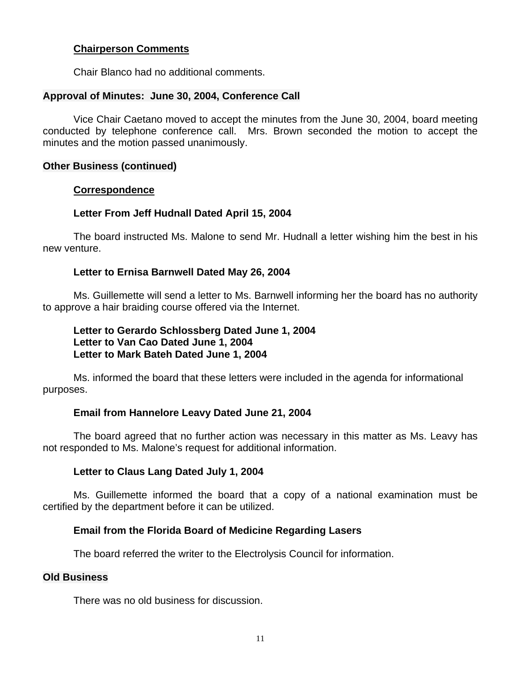## **Chairperson Comments**

Chair Blanco had no additional comments.

## **Approval of Minutes: June 30, 2004, Conference Call**

Vice Chair Caetano moved to accept the minutes from the June 30, 2004, board meeting conducted by telephone conference call. Mrs. Brown seconded the motion to accept the minutes and the motion passed unanimously.

#### **Other Business (continued)**

#### **Correspondence**

# **Letter From Jeff Hudnall Dated April 15, 2004**

The board instructed Ms. Malone to send Mr. Hudnall a letter wishing him the best in his new venture.

### **Letter to Ernisa Barnwell Dated May 26, 2004**

Ms. Guillemette will send a letter to Ms. Barnwell informing her the board has no authority to approve a hair braiding course offered via the Internet.

# **Letter to Gerardo Schlossberg Dated June 1, 2004 Letter to Van Cao Dated June 1, 2004 Letter to Mark Bateh Dated June 1, 2004**

Ms. informed the board that these letters were included in the agenda for informational purposes.

# **Email from Hannelore Leavy Dated June 21, 2004**

The board agreed that no further action was necessary in this matter as Ms. Leavy has not responded to Ms. Malone's request for additional information.

# **Letter to Claus Lang Dated July 1, 2004**

Ms. Guillemette informed the board that a copy of a national examination must be certified by the department before it can be utilized.

# **Email from the Florida Board of Medicine Regarding Lasers**

The board referred the writer to the Electrolysis Council for information.

## **Old Business**

There was no old business for discussion.